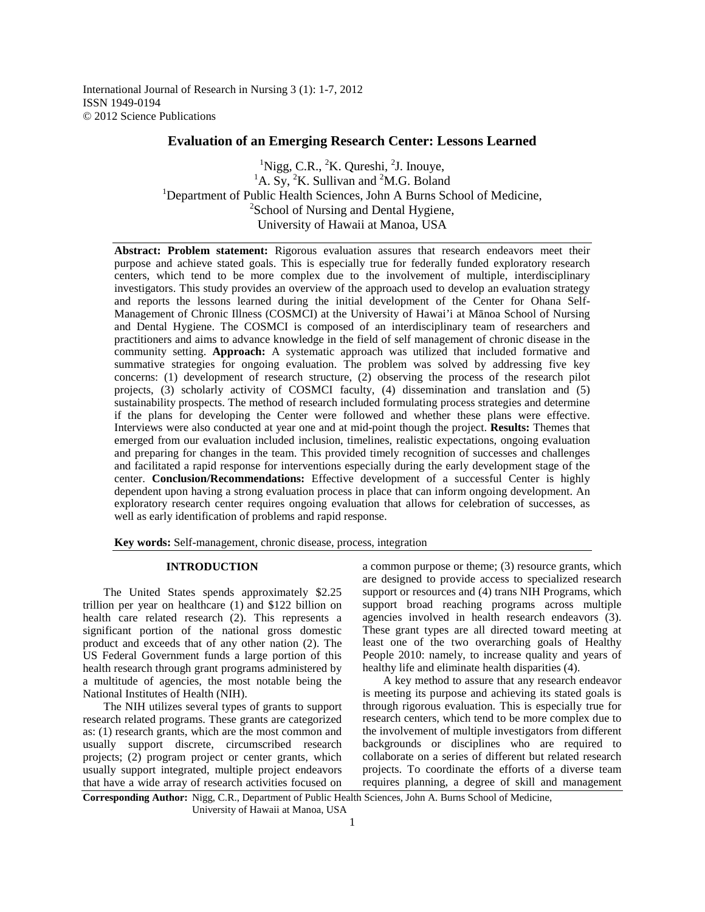International Journal of Research in Nursing 3 (1): 1-7, 2012 ISSN 1949-0194 © 2012 Science Publications

# **Evaluation of an Emerging Research Center: Lessons Learned**

 ${}^{1}$ Nigg, C.R.,  ${}^{2}$ K. Qureshi,  ${}^{2}$ J. Inouye, <sup>1</sup>A. Sy, <sup>2</sup>K. Sullivan and <sup>2</sup>M.G. Boland <sup>1</sup>Department of Public Health Sciences, John A Burns School of Medicine, <sup>2</sup>School of Nursing and Dental Hygiene, University of Hawaii at Manoa, USA

**Abstract: Problem statement:** Rigorous evaluation assures that research endeavors meet their purpose and achieve stated goals. This is especially true for federally funded exploratory research centers, which tend to be more complex due to the involvement of multiple, interdisciplinary investigators. This study provides an overview of the approach used to develop an evaluation strategy and reports the lessons learned during the initial development of the Center for Ohana Self-Management of Chronic Illness (COSMCI) at the University of Hawai'i at Mānoa School of Nursing and Dental Hygiene. The COSMCI is composed of an interdisciplinary team of researchers and practitioners and aims to advance knowledge in the field of self management of chronic disease in the community setting. **Approach:** A systematic approach was utilized that included formative and summative strategies for ongoing evaluation. The problem was solved by addressing five key concerns: (1) development of research structure, (2) observing the process of the research pilot projects, (3) scholarly activity of COSMCI faculty, (4) dissemination and translation and (5) sustainability prospects. The method of research included formulating process strategies and determine if the plans for developing the Center were followed and whether these plans were effective. Interviews were also conducted at year one and at mid-point though the project. **Results:** Themes that emerged from our evaluation included inclusion, timelines, realistic expectations, ongoing evaluation and preparing for changes in the team. This provided timely recognition of successes and challenges and facilitated a rapid response for interventions especially during the early development stage of the center. **Conclusion/Recommendations:** Effective development of a successful Center is highly dependent upon having a strong evaluation process in place that can inform ongoing development. An exploratory research center requires ongoing evaluation that allows for celebration of successes, as well as early identification of problems and rapid response.

**Key words:** Self-management, chronic disease, process, integration

#### **INTRODUCTION**

 The United States spends approximately \$2.25 trillion per year on healthcare (1) and \$122 billion on health care related research (2). This represents a significant portion of the national gross domestic product and exceeds that of any other nation (2). The US Federal Government funds a large portion of this health research through grant programs administered by a multitude of agencies, the most notable being the National Institutes of Health (NIH).

 The NIH utilizes several types of grants to support research related programs. These grants are categorized as: (1) research grants, which are the most common and usually support discrete, circumscribed research projects; (2) program project or center grants, which usually support integrated, multiple project endeavors that have a wide array of research activities focused on

a common purpose or theme; (3) resource grants, which are designed to provide access to specialized research support or resources and  $(4)$  trans NIH Programs, which support broad reaching programs across multiple agencies involved in health research endeavors (3). These grant types are all directed toward meeting at least one of the two overarching goals of Healthy People 2010: namely, to increase quality and years of healthy life and eliminate health disparities (4).

 A key method to assure that any research endeavor is meeting its purpose and achieving its stated goals is through rigorous evaluation. This is especially true for research centers, which tend to be more complex due to the involvement of multiple investigators from different backgrounds or disciplines who are required to collaborate on a series of different but related research projects. To coordinate the efforts of a diverse team requires planning, a degree of skill and management

**Corresponding Author:** Nigg, C.R., Department of Public Health Sciences, John A. Burns School of Medicine, University of Hawaii at Manoa, USA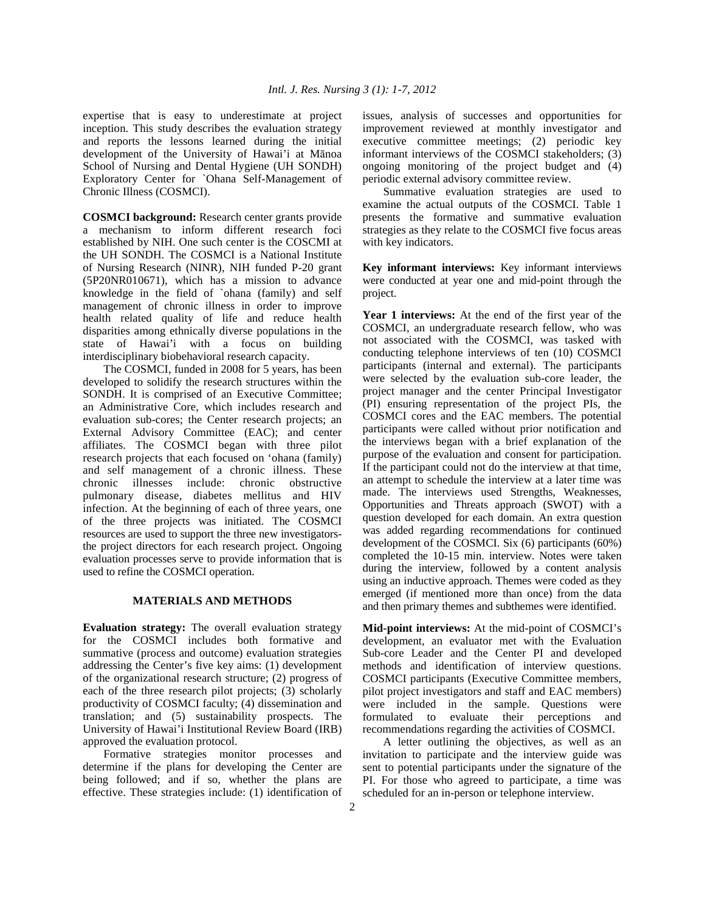expertise that is easy to underestimate at project inception. This study describes the evaluation strategy and reports the lessons learned during the initial development of the University of Hawai'i at Mānoa School of Nursing and Dental Hygiene (UH SONDH) Exploratory Center for `Ohana Self-Management of Chronic Illness (COSMCI).

**COSMCI background:** Research center grants provide a mechanism to inform different research foci established by NIH. One such center is the COSCMI at the UH SONDH. The COSMCI is a National Institute of Nursing Research (NINR), NIH funded P-20 grant (5P20NR010671), which has a mission to advance knowledge in the field of `ohana (family) and self management of chronic illness in order to improve health related quality of life and reduce health disparities among ethnically diverse populations in the state of Hawai'i with a focus on building interdisciplinary biobehavioral research capacity.

 The COSMCI, funded in 2008 for 5 years, has been developed to solidify the research structures within the SONDH. It is comprised of an Executive Committee; an Administrative Core, which includes research and evaluation sub-cores; the Center research projects; an External Advisory Committee (EAC); and center affiliates. The COSMCI began with three pilot research projects that each focused on 'ohana (family) and self management of a chronic illness. These chronic illnesses include: chronic obstructive pulmonary disease, diabetes mellitus and HIV infection. At the beginning of each of three years, one of the three projects was initiated. The COSMCI resources are used to support the three new investigatorsthe project directors for each research project. Ongoing evaluation processes serve to provide information that is used to refine the COSMCI operation.

#### **MATERIALS AND METHODS**

**Evaluation strategy:** The overall evaluation strategy for the COSMCI includes both formative and summative (process and outcome) evaluation strategies addressing the Center's five key aims: (1) development of the organizational research structure; (2) progress of each of the three research pilot projects;  $(3)$  scholarly productivity of COSMCI faculty; (4) dissemination and translation; and (5) sustainability prospects. The University of Hawai'i Institutional Review Board (IRB) approved the evaluation protocol.

 Formative strategies monitor processes and determine if the plans for developing the Center are being followed; and if so, whether the plans are effective. These strategies include: (1) identification of issues, analysis of successes and opportunities for improvement reviewed at monthly investigator and executive committee meetings; (2) periodic key informant interviews of the COSMCI stakeholders; (3) ongoing monitoring of the project budget and (4) periodic external advisory committee review.

 Summative evaluation strategies are used to examine the actual outputs of the COSMCI. Table 1 presents the formative and summative evaluation strategies as they relate to the COSMCI five focus areas with key indicators.

**Key informant interviews:** Key informant interviews were conducted at year one and mid-point through the project.

**Year 1 interviews:** At the end of the first year of the COSMCI, an undergraduate research fellow, who was not associated with the COSMCI, was tasked with conducting telephone interviews of ten (10) COSMCI participants (internal and external). The participants were selected by the evaluation sub-core leader, the project manager and the center Principal Investigator (PI) ensuring representation of the project PIs, the COSMCI cores and the EAC members. The potential participants were called without prior notification and the interviews began with a brief explanation of the purpose of the evaluation and consent for participation. If the participant could not do the interview at that time, an attempt to schedule the interview at a later time was made. The interviews used Strengths, Weaknesses, Opportunities and Threats approach (SWOT) with a question developed for each domain. An extra question was added regarding recommendations for continued development of the COSMCI. Six (6) participants (60%) completed the 10-15 min. interview. Notes were taken during the interview, followed by a content analysis using an inductive approach. Themes were coded as they emerged (if mentioned more than once) from the data and then primary themes and subthemes were identified.

**Mid-point interviews:** At the mid-point of COSMCI's development, an evaluator met with the Evaluation Sub-core Leader and the Center PI and developed methods and identification of interview questions. COSMCI participants (Executive Committee members, pilot project investigators and staff and EAC members) were included in the sample. Questions were formulated to evaluate their perceptions and recommendations regarding the activities of COSMCI.

 A letter outlining the objectives, as well as an invitation to participate and the interview guide was sent to potential participants under the signature of the PI. For those who agreed to participate, a time was scheduled for an in-person or telephone interview.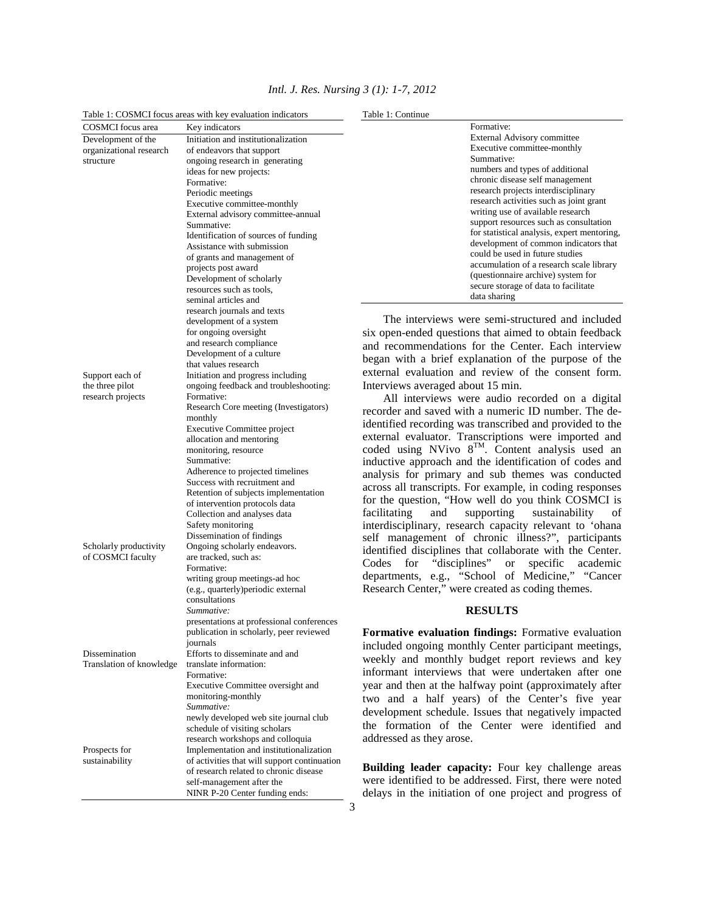| Table 1: COSMCI focus areas with key evaluation indicators |                                                             | Table 1: Continue                                                             |  |  |
|------------------------------------------------------------|-------------------------------------------------------------|-------------------------------------------------------------------------------|--|--|
| <b>COSMCI</b> focus area                                   | Key indicators                                              | Formative:                                                                    |  |  |
| Development of the                                         | Initiation and institutionalization                         | External Advisory committee                                                   |  |  |
| organizational research                                    | of endeavors that support                                   | Executive committee-monthly                                                   |  |  |
| structure                                                  | ongoing research in generating                              | Summative:                                                                    |  |  |
|                                                            | ideas for new projects:                                     | numbers and types of additional<br>chronic disease self management            |  |  |
|                                                            | Formative:                                                  | research projects interdisciplinary                                           |  |  |
|                                                            | Periodic meetings<br>Executive committee-monthly            | research activities such as joint grant                                       |  |  |
|                                                            | External advisory committee-annual                          | writing use of available research                                             |  |  |
|                                                            | Summative:                                                  | support resources such as consultation                                        |  |  |
|                                                            | Identification of sources of funding                        | for statistical analysis, expert mentoring,                                   |  |  |
|                                                            | Assistance with submission                                  | development of common indicators that                                         |  |  |
|                                                            | of grants and management of                                 | could be used in future studies                                               |  |  |
|                                                            | projects post award                                         | accumulation of a research scale library                                      |  |  |
|                                                            | Development of scholarly                                    | (questionnaire archive) system for<br>secure storage of data to facilitate    |  |  |
|                                                            | resources such as tools,                                    | data sharing                                                                  |  |  |
|                                                            | seminal articles and                                        |                                                                               |  |  |
|                                                            | research journals and texts                                 | The interviews were semi-structured and included                              |  |  |
|                                                            | development of a system<br>for ongoing oversight            |                                                                               |  |  |
|                                                            | and research compliance                                     | six open-ended questions that aimed to obtain feedback                        |  |  |
|                                                            | Development of a culture                                    | and recommendations for the Center. Each interview                            |  |  |
|                                                            | that values research                                        | began with a brief explanation of the purpose of the                          |  |  |
| Support each of                                            | Initiation and progress including                           | external evaluation and review of the consent form.                           |  |  |
| the three pilot                                            | ongoing feedback and troubleshooting:                       | Interviews averaged about 15 min.                                             |  |  |
| research projects                                          | Formative:                                                  | All interviews were audio recorded on a digital                               |  |  |
|                                                            | Research Core meeting (Investigators)                       | recorder and saved with a numeric ID number. The de-                          |  |  |
|                                                            | monthly                                                     | identified recording was transcribed and provided to the                      |  |  |
|                                                            | <b>Executive Committee project</b>                          | external evaluator. Transcriptions were imported and                          |  |  |
|                                                            | allocation and mentoring<br>monitoring, resource            | coded using NVivo 8 <sup>TM</sup> . Content analysis used an                  |  |  |
|                                                            | Summative:                                                  | inductive approach and the identification of codes and                        |  |  |
|                                                            | Adherence to projected timelines                            | analysis for primary and sub themes was conducted                             |  |  |
|                                                            | Success with recruitment and                                |                                                                               |  |  |
|                                                            | Retention of subjects implementation                        | across all transcripts. For example, in coding responses                      |  |  |
|                                                            | of intervention protocols data                              | for the question, "How well do you think COSMCI is                            |  |  |
|                                                            | Collection and analyses data                                | facilitating<br>of<br>and<br>supporting<br>sustainability                     |  |  |
|                                                            | Safety monitoring                                           | interdisciplinary, research capacity relevant to 'ohana                       |  |  |
|                                                            | Dissemination of findings                                   | self management of chronic illness?", participants                            |  |  |
| Scholarly productivity                                     | Ongoing scholarly endeavors.<br>are tracked, such as:       | identified disciplines that collaborate with the Center.                      |  |  |
| of COSMCI faculty                                          | Formative:                                                  | "disciplines"<br>Codes<br>for<br>$\hbox{or}\hskip2pt$<br>specific<br>academic |  |  |
|                                                            | writing group meetings-ad hoc                               | departments, e.g., "School of Medicine," "Cancer                              |  |  |
|                                                            | (e.g., quarterly) periodic external                         | Research Center," were created as coding themes.                              |  |  |
|                                                            | consultations                                               |                                                                               |  |  |
|                                                            | Summative:                                                  | <b>RESULTS</b>                                                                |  |  |
|                                                            | presentations at professional conferences                   |                                                                               |  |  |
|                                                            | publication in scholarly, peer reviewed                     | Formative evaluation findings: Formative evaluation                           |  |  |
|                                                            | journals                                                    | included ongoing monthly Center participant meetings,                         |  |  |
| Dissemination                                              | Efforts to disseminate and and                              | weekly and monthly budget report reviews and key                              |  |  |
| Translation of knowledge                                   | translate information:<br>Formative:                        | informant interviews that were undertaken after one                           |  |  |
|                                                            | Executive Committee oversight and                           | year and then at the halfway point (approximately after                       |  |  |
|                                                            | monitoring-monthly                                          |                                                                               |  |  |
|                                                            | Summative:                                                  | two and a half years) of the Center's five year                               |  |  |
|                                                            | newly developed web site journal club                       | development schedule. Issues that negatively impacted                         |  |  |
|                                                            | schedule of visiting scholars                               | the formation of the Center were identified and                               |  |  |
|                                                            | research workshops and colloquia                            | addressed as they arose.                                                      |  |  |
| Prospects for                                              | Implementation and institutionalization                     |                                                                               |  |  |
| sustainability                                             | of activities that will support continuation                | Building leader capacity: Four key challenge areas                            |  |  |
|                                                            | of research related to chronic disease                      | were identified to be addressed. First, there were noted                      |  |  |
|                                                            | self-management after the<br>NINR P-20 Center funding ends: | delays in the initiation of one project and progress of                       |  |  |
|                                                            |                                                             |                                                                               |  |  |
|                                                            |                                                             | 3                                                                             |  |  |

# *Intl. J. Res. Nursing 3 (1): 1-7, 2012*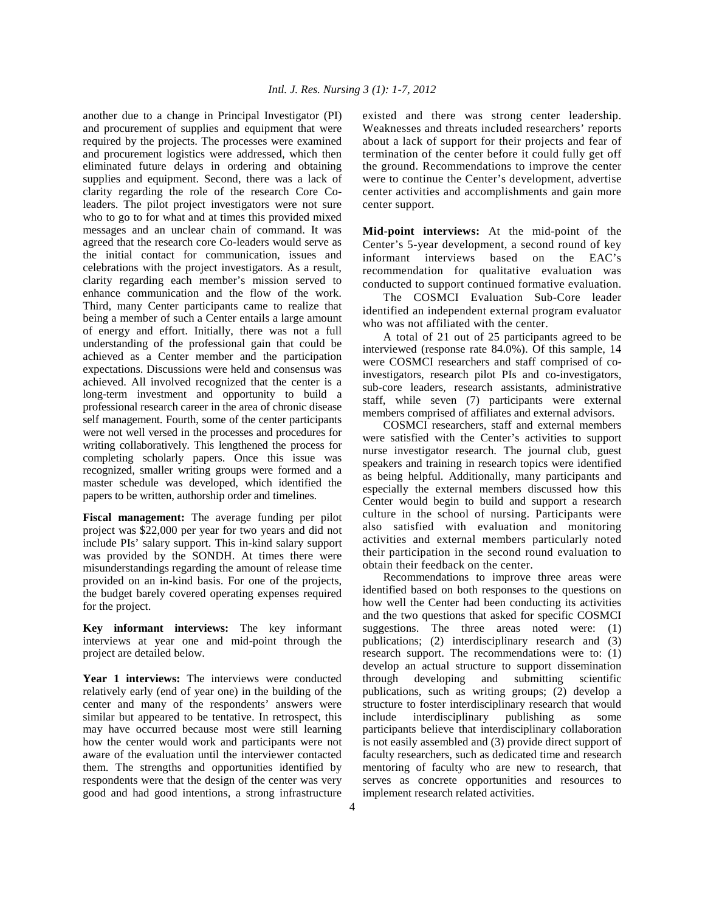another due to a change in Principal Investigator (PI) and procurement of supplies and equipment that were required by the projects. The processes were examined and procurement logistics were addressed, which then eliminated future delays in ordering and obtaining supplies and equipment. Second, there was a lack of clarity regarding the role of the research Core Coleaders. The pilot project investigators were not sure who to go to for what and at times this provided mixed messages and an unclear chain of command. It was agreed that the research core Co-leaders would serve as the initial contact for communication, issues and celebrations with the project investigators. As a result, clarity regarding each member's mission served to enhance communication and the flow of the work. Third, many Center participants came to realize that being a member of such a Center entails a large amount of energy and effort. Initially, there was not a full understanding of the professional gain that could be achieved as a Center member and the participation expectations. Discussions were held and consensus was achieved. All involved recognized that the center is a long-term investment and opportunity to build a professional research career in the area of chronic disease self management. Fourth, some of the center participants were not well versed in the processes and procedures for writing collaboratively. This lengthened the process for completing scholarly papers. Once this issue was recognized, smaller writing groups were formed and a master schedule was developed, which identified the papers to be written, authorship order and timelines.

**Fiscal management:** The average funding per pilot project was \$22,000 per year for two years and did not include PIs' salary support. This in-kind salary support was provided by the SONDH. At times there were misunderstandings regarding the amount of release time provided on an in-kind basis. For one of the projects, the budget barely covered operating expenses required for the project.

**Key informant interviews:** The key informant interviews at year one and mid-point through the project are detailed below.

Year 1 interviews: The interviews were conducted relatively early (end of year one) in the building of the center and many of the respondents' answers were similar but appeared to be tentative. In retrospect, this may have occurred because most were still learning how the center would work and participants were not aware of the evaluation until the interviewer contacted them. The strengths and opportunities identified by respondents were that the design of the center was very good and had good intentions, a strong infrastructure existed and there was strong center leadership. Weaknesses and threats included researchers' reports about a lack of support for their projects and fear of termination of the center before it could fully get off the ground. Recommendations to improve the center were to continue the Center's development, advertise center activities and accomplishments and gain more center support.

**Mid-point interviews:** At the mid-point of the Center's 5-year development, a second round of key informant interviews based on the EAC's recommendation for qualitative evaluation was conducted to support continued formative evaluation.

 The COSMCI Evaluation Sub-Core leader identified an independent external program evaluator who was not affiliated with the center.

 A total of 21 out of 25 participants agreed to be interviewed (response rate 84.0%). Of this sample, 14 were COSMCI researchers and staff comprised of coinvestigators, research pilot PIs and co-investigators, sub-core leaders, research assistants, administrative staff, while seven (7) participants were external members comprised of affiliates and external advisors.

 COSMCI researchers, staff and external members were satisfied with the Center's activities to support nurse investigator research. The journal club, guest speakers and training in research topics were identified as being helpful. Additionally, many participants and especially the external members discussed how this Center would begin to build and support a research culture in the school of nursing. Participants were also satisfied with evaluation and monitoring activities and external members particularly noted their participation in the second round evaluation to obtain their feedback on the center.

 Recommendations to improve three areas were identified based on both responses to the questions on how well the Center had been conducting its activities and the two questions that asked for specific COSMCI suggestions. The three areas noted were: (1) publications; (2) interdisciplinary research and (3) research support. The recommendations were to: (1) develop an actual structure to support dissemination through developing and submitting scientific publications, such as writing groups; (2) develop a structure to foster interdisciplinary research that would include interdisciplinary publishing as some participants believe that interdisciplinary collaboration is not easily assembled and (3) provide direct support of faculty researchers, such as dedicated time and research mentoring of faculty who are new to research, that serves as concrete opportunities and resources to implement research related activities.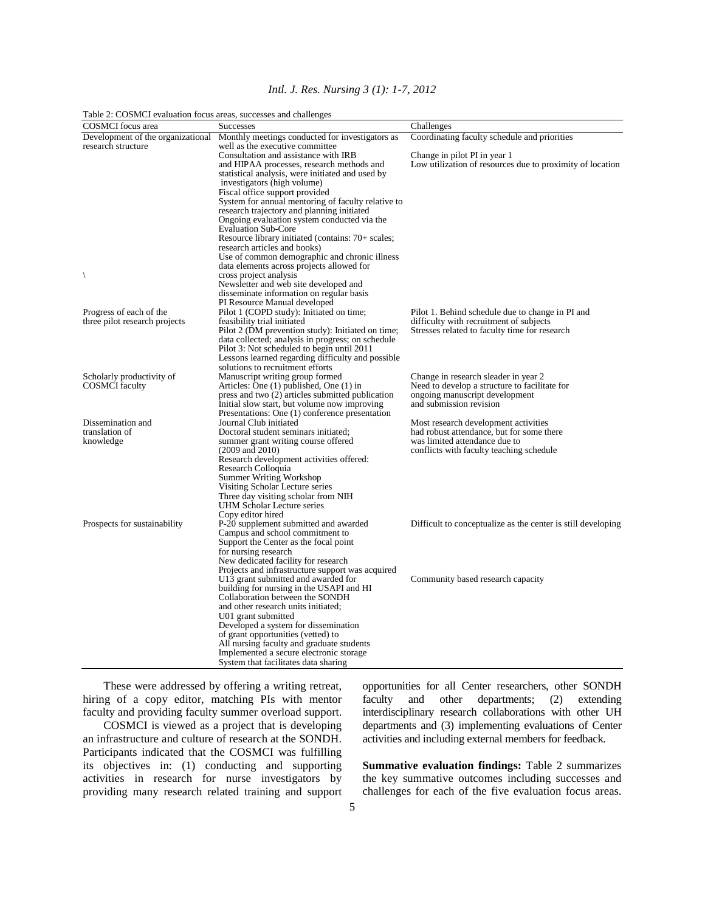|  |  | Intl. J. Res. Nursing 3 (1): 1-7, 2012 |  |  |  |
|--|--|----------------------------------------|--|--|--|
|--|--|----------------------------------------|--|--|--|

| Table 2: COSMCI evaluation focus areas, successes and challenges |                                                                                                                                                                                                                                                                                                                                                                                                                                                 |                                                                                                                                                                |
|------------------------------------------------------------------|-------------------------------------------------------------------------------------------------------------------------------------------------------------------------------------------------------------------------------------------------------------------------------------------------------------------------------------------------------------------------------------------------------------------------------------------------|----------------------------------------------------------------------------------------------------------------------------------------------------------------|
| <b>COSMCI</b> focus area                                         | <b>Successes</b>                                                                                                                                                                                                                                                                                                                                                                                                                                | Challenges                                                                                                                                                     |
| Development of the organizational<br>research structure          | Monthly meetings conducted for investigators as<br>well as the executive committee<br>Consultation and assistance with IRB<br>and HIPAA processes, research methods and<br>statistical analysis, were initiated and used by<br>investigators (high volume)<br>Fiscal office support provided<br>System for annual mentoring of faculty relative to<br>research trajectory and planning initiated<br>Ongoing evaluation system conducted via the | Coordinating faculty schedule and priorities<br>Change in pilot PI in year 1<br>Low utilization of resources due to proximity of location                      |
| $\backslash$                                                     | <b>Evaluation Sub-Core</b><br>Resource library initiated (contains: 70+ scales;<br>research articles and books)<br>Use of common demographic and chronic illness<br>data elements across projects allowed for<br>cross project analysis                                                                                                                                                                                                         |                                                                                                                                                                |
|                                                                  | Newsletter and web site developed and<br>disseminate information on regular basis<br>PI Resource Manual developed                                                                                                                                                                                                                                                                                                                               |                                                                                                                                                                |
| Progress of each of the<br>three pilot research projects         | Pilot 1 (COPD study): Initiated on time;<br>feasibility trial initiated<br>Pilot 2 (DM prevention study): Initiated on time;<br>data collected; analysis in progress; on schedule<br>Pilot 3: Not scheduled to begin until 2011<br>Lessons learned regarding difficulty and possible<br>solutions to recruitment efforts                                                                                                                        | Pilot 1. Behind schedule due to change in PI and<br>difficulty with recruitment of subjects<br>Stresses related to faculty time for research                   |
| Scholarly productivity of<br><b>COSMCI</b> faculty               | Manuscript writing group formed<br>Articles: One (1) published, One (1) in<br>press and two (2) articles submitted publication<br>Initial slow start, but volume now improving<br>Presentations: One (1) conference presentation                                                                                                                                                                                                                | Change in research sleader in year 2<br>Need to develop a structure to facilitate for<br>ongoing manuscript development<br>and submission revision             |
| Dissemination and<br>translation of<br>knowledge                 | Journal Club initiated<br>Doctoral student seminars initiated;<br>summer grant writing course offered<br>$(2009 \text{ and } 2010)$<br>Research development activities offered:<br>Research Colloquia<br>Summer Writing Workshop<br>Visiting Scholar Lecture series<br>Three day visiting scholar from NIH<br>UHM Scholar Lecture series<br>Copy editor hired                                                                                   | Most research development activities<br>had robust attendance, but for some there<br>was limited attendance due to<br>conflicts with faculty teaching schedule |
| Prospects for sustainability                                     | P-20 supplement submitted and awarded<br>Campus and school commitment to<br>Support the Center as the focal point<br>for nursing research<br>New dedicated facility for research<br>Projects and infrastructure support was acquired                                                                                                                                                                                                            | Difficult to conceptualize as the center is still developing                                                                                                   |
|                                                                  | U13 grant submitted and awarded for<br>building for nursing in the USAPI and HI<br>Collaboration between the SONDH<br>and other research units initiated;<br>U01 grant submitted<br>Developed a system for dissemination<br>of grant opportunities (vetted) to<br>All nursing faculty and graduate students<br>Implemented a secure electronic storage.<br>System that facilitates data sharing                                                 | Community based research capacity                                                                                                                              |

 These were addressed by offering a writing retreat, hiring of a copy editor, matching PIs with mentor faculty and providing faculty summer overload support.

 COSMCI is viewed as a project that is developing an infrastructure and culture of research at the SONDH. Participants indicated that the COSMCI was fulfilling its objectives in: (1) conducting and supporting activities in research for nurse investigators by providing many research related training and support

opportunities for all Center researchers, other SONDH faculty and other departments; (2) extending interdisciplinary research collaborations with other UH departments and (3) implementing evaluations of Center activities and including external members for feedback.

**Summative evaluation findings:** Table 2 summarizes the key summative outcomes including successes and challenges for each of the five evaluation focus areas.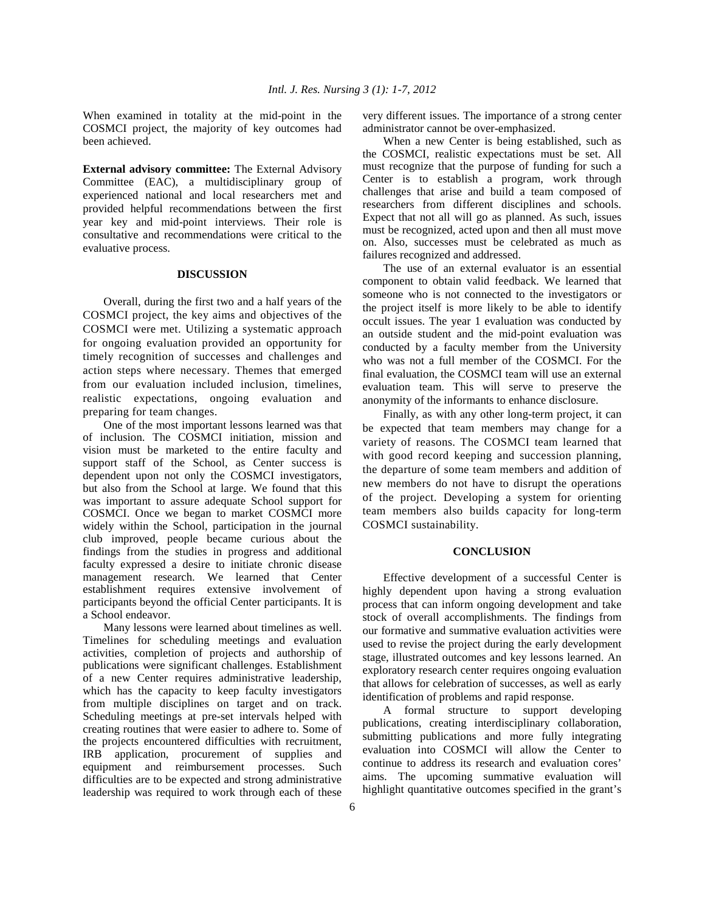When examined in totality at the mid-point in the COSMCI project, the majority of key outcomes had been achieved.

**External advisory committee:** The External Advisory Committee (EAC), a multidisciplinary group of experienced national and local researchers met and provided helpful recommendations between the first year key and mid-point interviews. Their role is consultative and recommendations were critical to the evaluative process.

#### **DISCUSSION**

 Overall, during the first two and a half years of the COSMCI project, the key aims and objectives of the COSMCI were met. Utilizing a systematic approach for ongoing evaluation provided an opportunity for timely recognition of successes and challenges and action steps where necessary. Themes that emerged from our evaluation included inclusion, timelines, realistic expectations, ongoing evaluation and preparing for team changes.

 One of the most important lessons learned was that of inclusion. The COSMCI initiation, mission and vision must be marketed to the entire faculty and support staff of the School, as Center success is dependent upon not only the COSMCI investigators, but also from the School at large. We found that this was important to assure adequate School support for COSMCI. Once we began to market COSMCI more widely within the School, participation in the journal club improved, people became curious about the findings from the studies in progress and additional faculty expressed a desire to initiate chronic disease management research. We learned that Center establishment requires extensive involvement of participants beyond the official Center participants. It is a School endeavor.

 Many lessons were learned about timelines as well. Timelines for scheduling meetings and evaluation activities, completion of projects and authorship of publications were significant challenges. Establishment of a new Center requires administrative leadership, which has the capacity to keep faculty investigators from multiple disciplines on target and on track. Scheduling meetings at pre-set intervals helped with creating routines that were easier to adhere to. Some of the projects encountered difficulties with recruitment, IRB application, procurement of supplies and equipment and reimbursement processes. Such difficulties are to be expected and strong administrative leadership was required to work through each of these

very different issues. The importance of a strong center administrator cannot be over-emphasized.

 When a new Center is being established, such as the COSMCI, realistic expectations must be set. All must recognize that the purpose of funding for such a Center is to establish a program, work through challenges that arise and build a team composed of researchers from different disciplines and schools. Expect that not all will go as planned. As such, issues must be recognized, acted upon and then all must move on. Also, successes must be celebrated as much as failures recognized and addressed.

 The use of an external evaluator is an essential component to obtain valid feedback. We learned that someone who is not connected to the investigators or the project itself is more likely to be able to identify occult issues. The year 1 evaluation was conducted by an outside student and the mid-point evaluation was conducted by a faculty member from the University who was not a full member of the COSMCI. For the final evaluation, the COSMCI team will use an external evaluation team. This will serve to preserve the anonymity of the informants to enhance disclosure.

 Finally, as with any other long-term project, it can be expected that team members may change for a variety of reasons. The COSMCI team learned that with good record keeping and succession planning, the departure of some team members and addition of new members do not have to disrupt the operations of the project. Developing a system for orienting team members also builds capacity for long-term COSMCI sustainability.

#### **CONCLUSION**

 Effective development of a successful Center is highly dependent upon having a strong evaluation process that can inform ongoing development and take stock of overall accomplishments. The findings from our formative and summative evaluation activities were used to revise the project during the early development stage, illustrated outcomes and key lessons learned. An exploratory research center requires ongoing evaluation that allows for celebration of successes, as well as early identification of problems and rapid response.

 A formal structure to support developing publications, creating interdisciplinary collaboration, submitting publications and more fully integrating evaluation into COSMCI will allow the Center to continue to address its research and evaluation cores' aims. The upcoming summative evaluation will highlight quantitative outcomes specified in the grant's